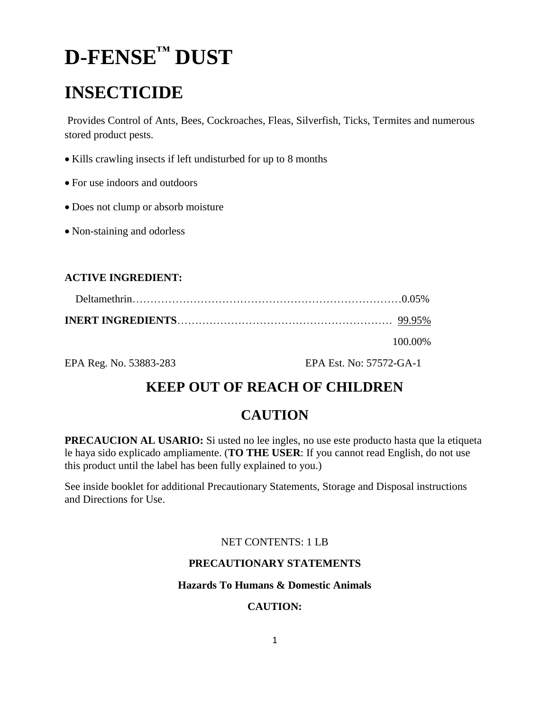# **D-FENSE™ DUST**

# **INSECTICIDE**

Provides Control of Ants, Bees, Cockroaches, Fleas, Silverfish, Ticks, Termites and numerous stored product pests.

- Kills crawling insects if left undisturbed for up to 8 months
- For use indoors and outdoors
- Does not clump or absorb moisture
- Non-staining and odorless

#### **ACTIVE INGREDIENT:**

| 100.00% |
|---------|

EPA Reg. No. 53883-283 EPA Est. No: 57572-GA-1

## **KEEP OUT OF REACH OF CHILDREN**

## **CAUTION**

**PRECAUCION AL USARIO:** Si usted no lee ingles, no use este producto hasta que la etiqueta le haya sido explicado ampliamente. (**TO THE USER**: If you cannot read English, do not use this product until the label has been fully explained to you.)

See inside booklet for additional Precautionary Statements, Storage and Disposal instructions and Directions for Use.

#### NET CONTENTS: 1 LB

#### **PRECAUTIONARY STATEMENTS**

#### **Hazards To Humans & Domestic Animals**

#### **CAUTION:**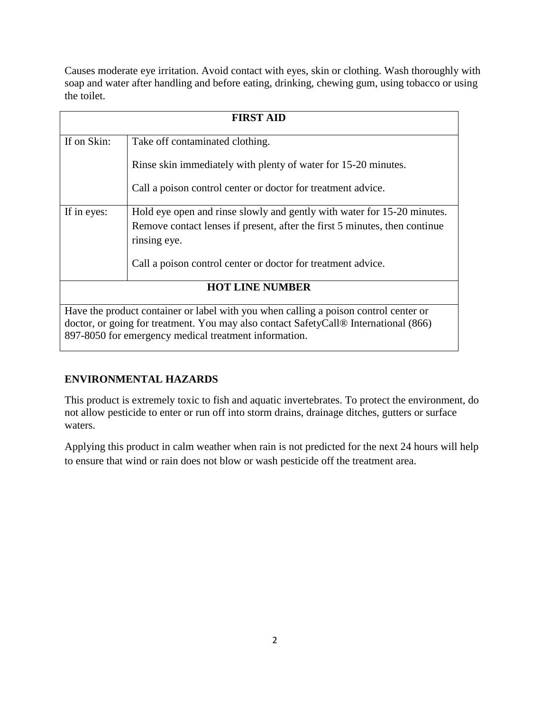Causes moderate eye irritation. Avoid contact with eyes, skin or clothing. Wash thoroughly with soap and water after handling and before eating, drinking, chewing gum, using tobacco or using the toilet.

| <b>FIRST AID</b>       |                                                                                                                                                                                                                                                   |
|------------------------|---------------------------------------------------------------------------------------------------------------------------------------------------------------------------------------------------------------------------------------------------|
| If on Skin:            | Take off contaminated clothing.                                                                                                                                                                                                                   |
|                        | Rinse skin immediately with plenty of water for 15-20 minutes.                                                                                                                                                                                    |
|                        | Call a poison control center or doctor for treatment advice.                                                                                                                                                                                      |
| If in eyes:            | Hold eye open and rinse slowly and gently with water for 15-20 minutes.                                                                                                                                                                           |
|                        | Remove contact lenses if present, after the first 5 minutes, then continue<br>rinsing eye.                                                                                                                                                        |
|                        | Call a poison control center or doctor for treatment advice.                                                                                                                                                                                      |
| <b>HOT LINE NUMBER</b> |                                                                                                                                                                                                                                                   |
|                        | Have the product container or label with you when calling a poison control center or<br>doctor, or going for treatment. You may also contact SafetyCall <sup>®</sup> International (866)<br>897-8050 for emergency medical treatment information. |

#### **ENVIRONMENTAL HAZARDS**

This product is extremely toxic to fish and aquatic invertebrates. To protect the environment, do not allow pesticide to enter or run off into storm drains, drainage ditches, gutters or surface waters.

Applying this product in calm weather when rain is not predicted for the next 24 hours will help to ensure that wind or rain does not blow or wash pesticide off the treatment area.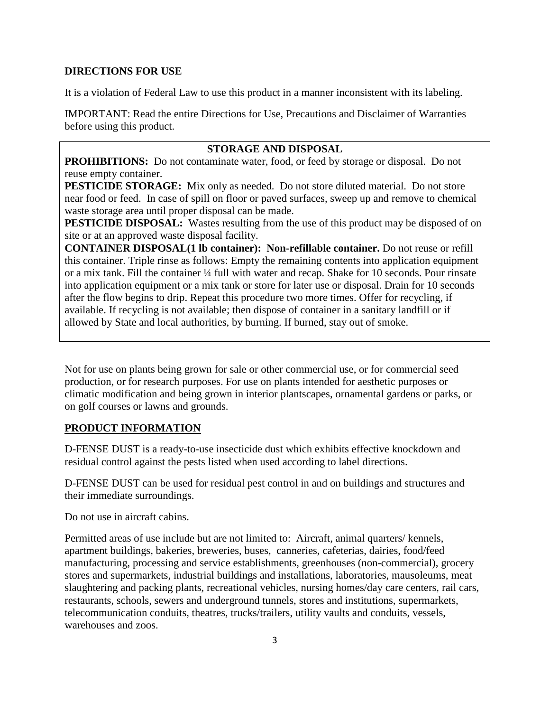#### **DIRECTIONS FOR USE**

It is a violation of Federal Law to use this product in a manner inconsistent with its labeling.

IMPORTANT: Read the entire Directions for Use, Precautions and Disclaimer of Warranties before using this product.

#### **STORAGE AND DISPOSAL**

**PROHIBITIONS:** Do not contaminate water, food, or feed by storage or disposal. Do not reuse empty container.

**PESTICIDE STORAGE:** Mix only as needed. Do not store diluted material. Do not store near food or feed. In case of spill on floor or paved surfaces, sweep up and remove to chemical waste storage area until proper disposal can be made.

**PESTICIDE DISPOSAL:** Wastes resulting from the use of this product may be disposed of on site or at an approved waste disposal facility.

**CONTAINER DISPOSAL(1 lb container): Non-refillable container.** Do not reuse or refill this container. Triple rinse as follows: Empty the remaining contents into application equipment or a mix tank. Fill the container ¼ full with water and recap. Shake for 10 seconds. Pour rinsate into application equipment or a mix tank or store for later use or disposal. Drain for 10 seconds after the flow begins to drip. Repeat this procedure two more times. Offer for recycling, if available. If recycling is not available; then dispose of container in a sanitary landfill or if allowed by State and local authorities, by burning. If burned, stay out of smoke.

Not for use on plants being grown for sale or other commercial use, or for commercial seed production, or for research purposes. For use on plants intended for aesthetic purposes or climatic modification and being grown in interior plantscapes, ornamental gardens or parks, or on golf courses or lawns and grounds.

#### **PRODUCT INFORMATION**

D-FENSE DUST is a ready-to-use insecticide dust which exhibits effective knockdown and residual control against the pests listed when used according to label directions.

D-FENSE DUST can be used for residual pest control in and on buildings and structures and their immediate surroundings.

Do not use in aircraft cabins.

Permitted areas of use include but are not limited to: Aircraft, animal quarters/ kennels, apartment buildings, bakeries, breweries, buses, canneries, cafeterias, dairies, food/feed manufacturing, processing and service establishments, greenhouses (non-commercial), grocery stores and supermarkets, industrial buildings and installations, laboratories, mausoleums, meat slaughtering and packing plants, recreational vehicles, nursing homes/day care centers, rail cars, restaurants, schools, sewers and underground tunnels, stores and institutions, supermarkets, telecommunication conduits, theatres, trucks/trailers, utility vaults and conduits, vessels, warehouses and zoos.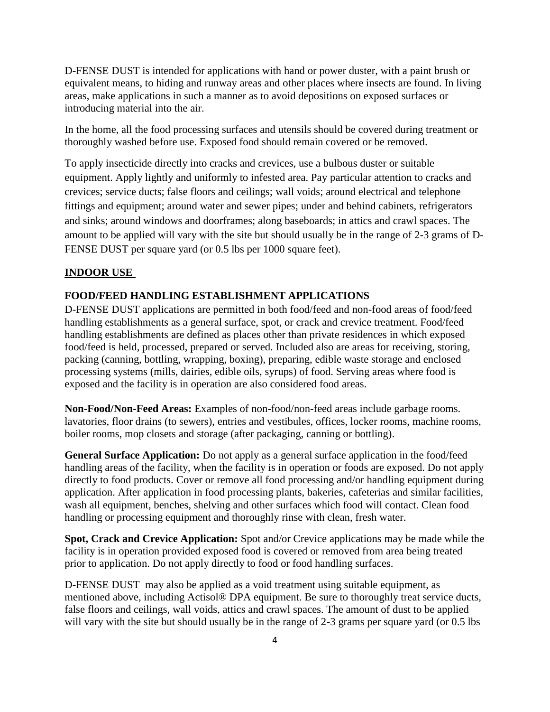D-FENSE DUST is intended for applications with hand or power duster, with a paint brush or equivalent means, to hiding and runway areas and other places where insects are found. In living areas, make applications in such a manner as to avoid depositions on exposed surfaces or introducing material into the air.

In the home, all the food processing surfaces and utensils should be covered during treatment or thoroughly washed before use. Exposed food should remain covered or be removed.

To apply insecticide directly into cracks and crevices, use a bulbous duster or suitable equipment. Apply lightly and uniformly to infested area. Pay particular attention to cracks and crevices; service ducts; false floors and ceilings; wall voids; around electrical and telephone fittings and equipment; around water and sewer pipes; under and behind cabinets, refrigerators and sinks; around windows and doorframes; along baseboards; in attics and crawl spaces. The amount to be applied will vary with the site but should usually be in the range of 2-3 grams of D-FENSE DUST per square yard (or 0.5 lbs per 1000 square feet).

#### **INDOOR USE**

#### **FOOD/FEED HANDLING ESTABLISHMENT APPLICATIONS**

D-FENSE DUST applications are permitted in both food/feed and non-food areas of food/feed handling establishments as a general surface, spot, or crack and crevice treatment. Food/feed handling establishments are defined as places other than private residences in which exposed food/feed is held, processed, prepared or served. Included also are areas for receiving, storing, packing (canning, bottling, wrapping, boxing), preparing, edible waste storage and enclosed processing systems (mills, dairies, edible oils, syrups) of food. Serving areas where food is exposed and the facility is in operation are also considered food areas.

**Non-Food/Non-Feed Areas:** Examples of non-food/non-feed areas include garbage rooms. lavatories, floor drains (to sewers), entries and vestibules, offices, locker rooms, machine rooms, boiler rooms, mop closets and storage (after packaging, canning or bottling).

**General Surface Application:** Do not apply as a general surface application in the food/feed handling areas of the facility, when the facility is in operation or foods are exposed. Do not apply directly to food products. Cover or remove all food processing and/or handling equipment during application. After application in food processing plants, bakeries, cafeterias and similar facilities, wash all equipment, benches, shelving and other surfaces which food will contact. Clean food handling or processing equipment and thoroughly rinse with clean, fresh water.

**Spot, Crack and Crevice Application:** Spot and/or Crevice applications may be made while the facility is in operation provided exposed food is covered or removed from area being treated prior to application. Do not apply directly to food or food handling surfaces.

D-FENSE DUST may also be applied as a void treatment using suitable equipment, as mentioned above, including Actisol® DPA equipment. Be sure to thoroughly treat service ducts, false floors and ceilings, wall voids, attics and crawl spaces. The amount of dust to be applied will vary with the site but should usually be in the range of 2-3 grams per square yard (or 0.5 lbs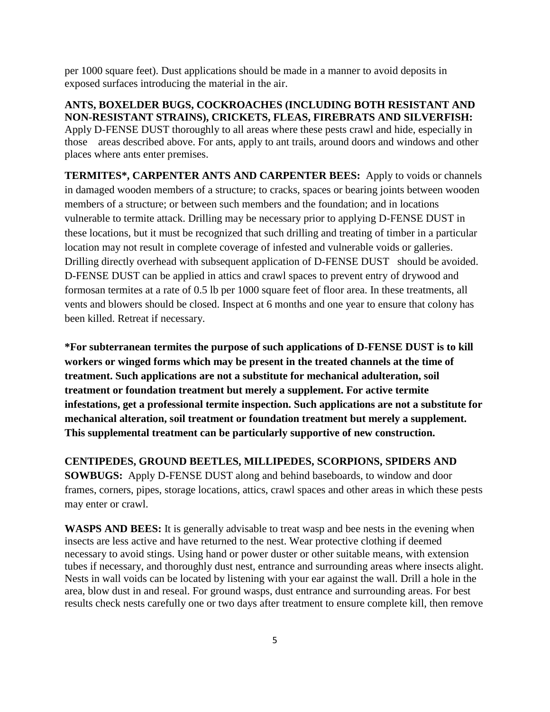per 1000 square feet). Dust applications should be made in a manner to avoid deposits in exposed surfaces introducing the material in the air.

**ANTS, BOXELDER BUGS, COCKROACHES (INCLUDING BOTH RESISTANT AND NON-RESISTANT STRAINS), CRICKETS, FLEAS, FIREBRATS AND SILVERFISH:** Apply D-FENSE DUST thoroughly to all areas where these pests crawl and hide, especially in those areas described above. For ants, apply to ant trails, around doors and windows and other places where ants enter premises.

**TERMITES\*, CARPENTER ANTS AND CARPENTER BEES:** Apply to voids or channels in damaged wooden members of a structure; to cracks, spaces or bearing joints between wooden members of a structure; or between such members and the foundation; and in locations vulnerable to termite attack. Drilling may be necessary prior to applying D-FENSE DUST in these locations, but it must be recognized that such drilling and treating of timber in a particular location may not result in complete coverage of infested and vulnerable voids or galleries. Drilling directly overhead with subsequent application of D-FENSE DUST should be avoided. D-FENSE DUST can be applied in attics and crawl spaces to prevent entry of drywood and formosan termites at a rate of 0.5 lb per 1000 square feet of floor area. In these treatments, all vents and blowers should be closed. Inspect at 6 months and one year to ensure that colony has been killed. Retreat if necessary.

**\*For subterranean termites the purpose of such applications of D-FENSE DUST is to kill workers or winged forms which may be present in the treated channels at the time of treatment. Such applications are not a substitute for mechanical adulteration, soil treatment or foundation treatment but merely a supplement. For active termite infestations, get a professional termite inspection. Such applications are not a substitute for mechanical alteration, soil treatment or foundation treatment but merely a supplement. This supplemental treatment can be particularly supportive of new construction.**

**CENTIPEDES, GROUND BEETLES, MILLIPEDES, SCORPIONS, SPIDERS AND SOWBUGS:** Apply D-FENSE DUST along and behind baseboards, to window and door frames, corners, pipes, storage locations, attics, crawl spaces and other areas in which these pests may enter or crawl.

**WASPS AND BEES:** It is generally advisable to treat wasp and bee nests in the evening when insects are less active and have returned to the nest. Wear protective clothing if deemed necessary to avoid stings. Using hand or power duster or other suitable means, with extension tubes if necessary, and thoroughly dust nest, entrance and surrounding areas where insects alight. Nests in wall voids can be located by listening with your ear against the wall. Drill a hole in the area, blow dust in and reseal. For ground wasps, dust entrance and surrounding areas. For best results check nests carefully one or two days after treatment to ensure complete kill, then remove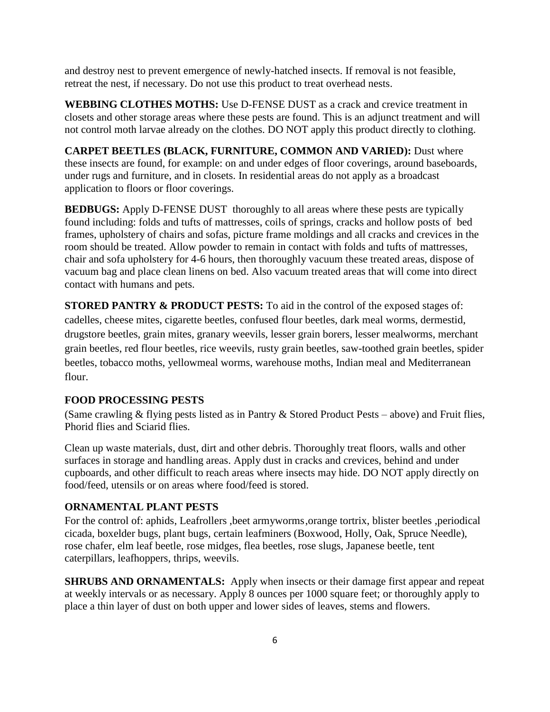and destroy nest to prevent emergence of newly-hatched insects. If removal is not feasible, retreat the nest, if necessary. Do not use this product to treat overhead nests.

**WEBBING CLOTHES MOTHS:** Use D-FENSE DUST as a crack and crevice treatment in closets and other storage areas where these pests are found. This is an adjunct treatment and will not control moth larvae already on the clothes. DO NOT apply this product directly to clothing.

**CARPET BEETLES (BLACK, FURNITURE, COMMON AND VARIED):** Dust where these insects are found, for example: on and under edges of floor coverings, around baseboards, under rugs and furniture, and in closets. In residential areas do not apply as a broadcast application to floors or floor coverings.

**BEDBUGS:** Apply D-FENSE DUST thoroughly to all areas where these pests are typically found including: folds and tufts of mattresses, coils of springs, cracks and hollow posts of bed frames, upholstery of chairs and sofas, picture frame moldings and all cracks and crevices in the room should be treated. Allow powder to remain in contact with folds and tufts of mattresses, chair and sofa upholstery for 4-6 hours, then thoroughly vacuum these treated areas, dispose of vacuum bag and place clean linens on bed. Also vacuum treated areas that will come into direct contact with humans and pets.

**STORED PANTRY & PRODUCT PESTS:** To aid in the control of the exposed stages of: cadelles, cheese mites, cigarette beetles, confused flour beetles, dark meal worms, dermestid, drugstore beetles, grain mites, granary weevils, lesser grain borers, lesser mealworms, merchant grain beetles, red flour beetles, rice weevils, rusty grain beetles, saw-toothed grain beetles, spider beetles, tobacco moths, yellowmeal worms, warehouse moths, Indian meal and Mediterranean flour.

#### **FOOD PROCESSING PESTS**

(Same crawling & flying pests listed as in Pantry & Stored Product Pests – above) and Fruit flies, Phorid flies and Sciarid flies.

Clean up waste materials, dust, dirt and other debris. Thoroughly treat floors, walls and other surfaces in storage and handling areas. Apply dust in cracks and crevices, behind and under cupboards, and other difficult to reach areas where insects may hide. DO NOT apply directly on food/feed, utensils or on areas where food/feed is stored.

#### **ORNAMENTAL PLANT PESTS**

For the control of: aphids, Leafrollers ,beet armyworms,orange tortrix, blister beetles ,periodical cicada, boxelder bugs, plant bugs, certain leafminers (Boxwood, Holly, Oak, Spruce Needle), rose chafer, elm leaf beetle, rose midges, flea beetles, rose slugs, Japanese beetle, tent caterpillars, leafhoppers, thrips, weevils.

**SHRUBS AND ORNAMENTALS:** Apply when insects or their damage first appear and repeat at weekly intervals or as necessary. Apply 8 ounces per 1000 square feet; or thoroughly apply to place a thin layer of dust on both upper and lower sides of leaves, stems and flowers.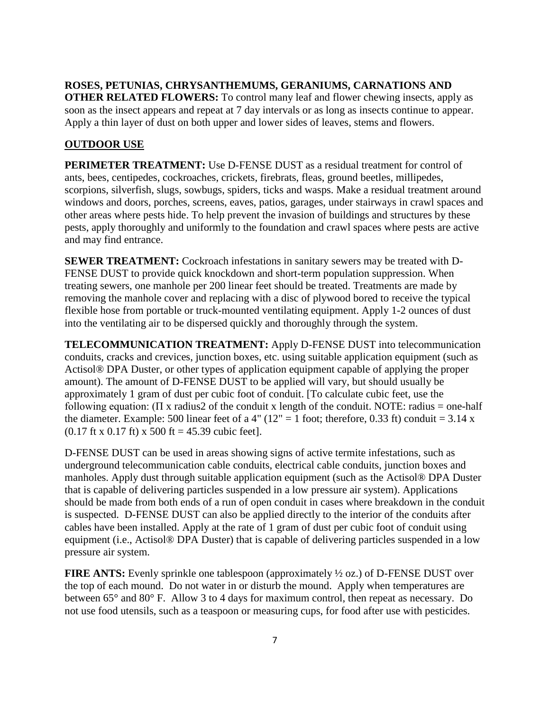**ROSES, PETUNIAS, CHRYSANTHEMUMS, GERANIUMS, CARNATIONS AND OTHER RELATED FLOWERS:** To control many leaf and flower chewing insects, apply as soon as the insect appears and repeat at 7 day intervals or as long as insects continue to appear. Apply a thin layer of dust on both upper and lower sides of leaves, stems and flowers.

#### **OUTDOOR USE**

**PERIMETER TREATMENT:** Use D-FENSE DUST as a residual treatment for control of ants, bees, centipedes, cockroaches, crickets, firebrats, fleas, ground beetles, millipedes, scorpions, silverfish, slugs, sowbugs, spiders, ticks and wasps. Make a residual treatment around windows and doors, porches, screens, eaves, patios, garages, under stairways in crawl spaces and other areas where pests hide. To help prevent the invasion of buildings and structures by these pests, apply thoroughly and uniformly to the foundation and crawl spaces where pests are active and may find entrance.

**SEWER TREATMENT:** Cockroach infestations in sanitary sewers may be treated with D-FENSE DUST to provide quick knockdown and short-term population suppression. When treating sewers, one manhole per 200 linear feet should be treated. Treatments are made by removing the manhole cover and replacing with a disc of plywood bored to receive the typical flexible hose from portable or truck-mounted ventilating equipment. Apply 1-2 ounces of dust into the ventilating air to be dispersed quickly and thoroughly through the system.

**TELECOMMUNICATION TREATMENT:** Apply D-FENSE DUST into telecommunication conduits, cracks and crevices, junction boxes, etc. using suitable application equipment (such as Actisol® DPA Duster, or other types of application equipment capable of applying the proper amount). The amount of D-FENSE DUST to be applied will vary, but should usually be approximately 1 gram of dust per cubic foot of conduit. [To calculate cubic feet, use the following equation: ( $\Pi$  x radius2 of the conduit x length of the conduit. NOTE: radius = one-half the diameter. Example: 500 linear feet of a 4" ( $12" = 1$  foot; therefore, 0.33 ft) conduit = 3.14 x  $(0.17 \text{ ft} \times 0.17 \text{ ft}) \times 500 \text{ ft} = 45.39 \text{ cubic feet}.$ 

D-FENSE DUST can be used in areas showing signs of active termite infestations, such as underground telecommunication cable conduits, electrical cable conduits, junction boxes and manholes. Apply dust through suitable application equipment (such as the Actisol® DPA Duster that is capable of delivering particles suspended in a low pressure air system). Applications should be made from both ends of a run of open conduit in cases where breakdown in the conduit is suspected. D-FENSE DUST can also be applied directly to the interior of the conduits after cables have been installed. Apply at the rate of 1 gram of dust per cubic foot of conduit using equipment (i.e., Actisol® DPA Duster) that is capable of delivering particles suspended in a low pressure air system.

**FIRE ANTS:** Evenly sprinkle one tablespoon (approximately  $\frac{1}{2}$  oz.) of D-FENSE DUST over the top of each mound. Do not water in or disturb the mound. Apply when temperatures are between 65° and 80° F. Allow 3 to 4 days for maximum control, then repeat as necessary. Do not use food utensils, such as a teaspoon or measuring cups, for food after use with pesticides.